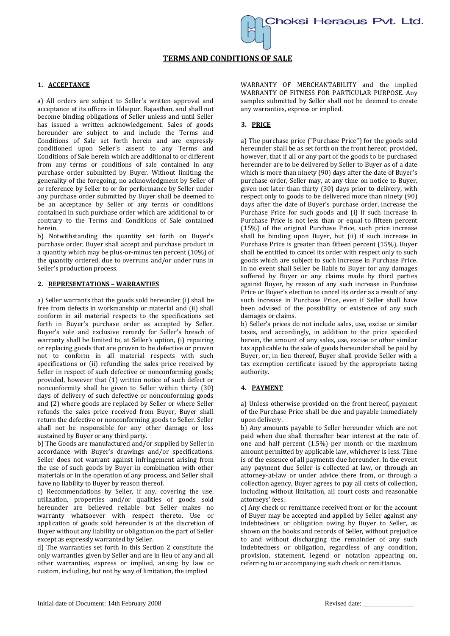# **TERMS AND CONDITIONS OF SALE**

#### **1. ACCEPTANCE**

a) All orders are subject to Seller's written approval and acceptance at its offices in Udaipur. Rajasthan, and shall not become binding obligations of Seller unless and until Seller has issued a written acknowledgement. Sales of goods hereunder are subject to and include the Terms and Conditions of Sale set forth herein and are expressly conditioned upon Seller's assent to any Terms and Conditions of Sale herein which are additional to or different from any terms or conditions of sale contained in any purchase order submitted by Buyer. Without limiting the generality of the foregoing, no acknowledgment by Seller of or reference by Seller to or for performance by Seller under any purchase order submitted by Buyer shall be deemed to be an acceptance by Seller of any terms or conditions contained in such purchase order which are additional to or contrary to the Terms and Conditions of Sale contained herein.

b) Notwithstanding the quantity set forth on Buyer's purchase order, Buyer shall accept and purchase product in a quantity which may be plus-or-minus ten percent (10%) of the quantity ordered, due to overruns and/or under runs in Seller's production process.

#### **2. REPRESENTATIONS – WARRANTIES**

a) Seller warrants that the goods sold hereunder (i) shall be free from defects in workmanship or material and (ii) shall conform in ail material respects to the specifications set forth in Buyer's purchase order as accepted by Seller. Buyer's sole and exclusive remedy for Seller's breach of warranty shall be limited to, at Seller's option, (i) repairing or replacing goods that are proven to be defective or proven not to conform in all material respects with such specifications or (ii) refunding the sales price received by Seller in respect of such defective or nonconforming goods; provided, however that (1) written notice of such defect or nonconformity shall be given to Seller within thirty (30) days of delivery of such defective or nonconforming goods and (2) where goods are replaced by Seller or where Seller refunds the sales price received from Buyer, Buyer shall return the defective or nonconforming goods to Seller. Seller shall not be responsible for any other damage or loss sustained by Buyer or any third party.

b) The Goods are manufactured and/or supplied by Seller in accordance with Buyer's drawings and/or specifications. Seller does not warrant against infringement arising from the use of such goods by Buyer in combination with other materials or in the operation of any process, and Seller shall have no liability to Buyer by reason thereof.

c) Recommendations by Seller, if any, covering the use, utilization, properties and/or qualities of goods sold hereunder are believed reliable but Seller makes no warranty whatsoever with respect thereto. Use or application of goods sold hereunder is at the discretion of Buyer without any liability or obligation on the part of Seller except as expressly warranted by Seller.

d) The warranties set forth in this Section 2 constitute the only warranties given by Seller and are in lieu of any and all other warranties, express or implied, arising by law or custom, including, but not by way of limitation, the implied

WARRANTY OF MERCHANTABILITY and the implied WARRANTY OF FITNESS FOR PARTICULAR PURPOSE. Any samples submitted by Seller shall not be deemed to create any warranties, express or implied.

## **3. PRICE**

a) The purchase price ("Purchase Price") for the goods sold hereunder shall be as set forth on the front hereof; provided, however, that if all or any part of the goods to be purchased hereunder are to be delivered by Seller to Buyer as of a date which is more than ninety (90) days after the date of Buyer's purchase order, Seller may, at any time on notice to Buyer, given not later than thirty (30) days prior to delivery, with respect only to goods to be delivered more than ninety (90) days after the date of Buyer's purchase order, increase the Purchase Price for such goods and (i) if such increase in Purchase Price is not less than or equal to fifteen percent (15%) of the original Purchase Price, such price increase shall be binding upon Buyer, but (ii) if such increase in Purchase Price is greater than fifteen percent (15%), Buyer shall be entitled to cancel its order with respect only to such goods which are subject to such increase in Purchase Price. In no event shall Seller be liable to Buyer for any damages suffered by Buyer or any claims made by third parties against Buyer, by reason of any such increase in Purchase Price or Buyer's election to cancel its order as a result of any such increase in Purchase Price, even if Seller shall have been advised of the possibility or existence of any such damages or claims.

b) Seller's prices do not include sales, use, excise or similar taxes, and accordingly, in addition to the price specified herein, the amount of any sales, use, excise or other similar tax applicable to the sale of goods hereunder shall be paid by Buyer, or, in lieu thereof, Buyer shall provide Seller with a tax exemption certificate issued by the appropriate taxing authority.

## **4. PAYMENT**

a) Unless otherwise provided on the front hereof, payment of the Purchase Price shall be due and payable immediately upon delivery.

b) Any amounts payable to Seller hereunder which are not paid when due shall thereafter bear interest at the rate of one and half percent (1.5%) per month or the maximum amount permitted by applicable law, whichever is less. Time is of the essence of all payments due hereunder. In the event any payment due Seller is collected at law, or through an attorney-at-law or under advice there from, or through a collection agency, Buyer agrees to pay all costs of collection, including without limitation, ail court costs and reasonable attorneys' fees.

c) Any check or remittance received from or for the account of Buyer may be accepted and applied by Seller against any indebtedness or obligation owing by Buyer to Seller, as shown on the books and records of Seller, without prejudice to and without discharging the remainder of any such indebtedness or obligation, regardless of any condition, provision, statement, legend or notation appearing on, referring to or accompanying such check or remittance.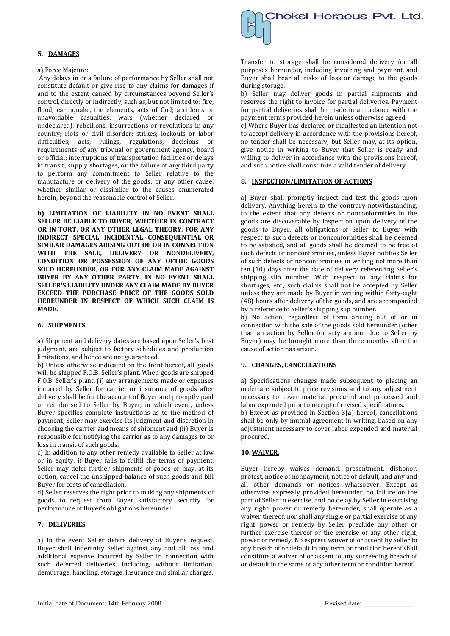## **5. DAMAGES**

## a) Force Majeure:

Any delays in or a failure of performance by Seller shall not constitute default or give rise to any claims for damages if and to the extent caused by circumstances beyond Seller's control, directly or indirectly, such as, but not limited to: fire, flood, earthquake, the elements, acts of God; accidents or unavoidable casualties; wars (whether declared or undeclared), rebellions, insurrections or revolutions in any country; riots or civil disorder; strikes; lockouts or labor difficulties; acts, rulings, regulations, decisions or requirements of any tribunal or government agency, board or official; interruptions of transportation facilities or delays in transit; supply shortages, or the failure of any third party to perform any commitment to Seller relative to the manufacture or delivery of the goods; or any other cause, whether similar or dissimilar to the causes enumerated herein, beyond the reasonable control of Seller.

**b) LIMITATION OF LIABILITY IN NO EVENT SHALL SELLER BE LIABLE TO BUYER, WHETHER IN CONTRACT OR IN TORT, OR ANY OTHER LEGAL THEORY, FOR ANY INDIRECT, SPECIAL, INCIDENTAL, CONSEQUENTIAL OR SIMILAR DAMAGES ARISING OUT OF OR IN CONNECTION WITH THE SALE, DELIVERY OR NONDELIVERY, CONDITION OR POSSESSION OF ANY OFTHE GOODS SOLD HEREUNDER, OR FOR ANY CLAIM MADE AGAINST BUYER BY ANY OTHER PARTY. IN NO EVENT SHALL SELLER'S LIABILITY UNDER ANY CLAIM MADE BY BUYER EXCEED THE PURCHASE PRICE OF THE GOODS SOLD HEREUNDER IN RESPECT OF WHICH SUCH CLAIM IS MADE.**

## **6. SHIPMENTS**

a) Shipment and delivery dates are based upon Seller's best judgment, are subject to factory schedules and production limitations, and hence are not guaranteed.

b) Unless otherwise indicated on the front hereof, all goods will be shipped F.O.B. Seller's plant. When goods are shipped F.O.B. Seller's plant, (i) any arrangements made or expenses incurred by Seller for carrier or insurance of goods after delivery shall be for the account of Buyer and promptly paid or reimbursed to Seller by Buyer, in which event, unless Buyer specifies complete instructions as to the method of payment, Seller may exercise its judgment and discretion in choosing the carrier and means of shipment and (ii) Buyer is responsible for notifying the carrier as to any damages to or loss in transit of such goods.

c) In addition to any other remedy available to Seller at law or in equity, if Buyer fails to fulfill the terms of payment, Seller may defer further shipments of goods or may, at its option, cancel the unshipped balance of such goods and bill Buyer for costs of cancellation.

d) Seller reserves the right prior to making any shipments of goods to request from Buyer satisfactory security for performance of Buyer's obligations hereunder.

## **7. DELIVERIES**

a) In the event Seller defers delivery at Buyer's request, Buyer shall indemnify Seller against any and all loss and additional expense incurred by Seller in connection with such deferred deliveries, including, without limitation, demurrage, handling, storage, insurance and similar charges.

Transfer to storage shall be considered delivery for all purposes hereunder, including invoicing and payment, and Buyer shall bear all risks of loss or damage to the goods during storage.

b) Seller may deliver goods in partial shipments and reserves the right to invoice for partial deliveries. Payment for partial deliveries shall be made in accordance with the payment terms provided herein unless otherwise agreed.

c) Where Buyer has declared or manifested an intention not to accept delivery in accordance with the provisions hereof, no tender shall be necessary, but Seller may, at its option, give notice in writing to Buyer that Seller is ready and willing to deliver in accordance with the provisions hereof, and such notice shall constitute a valid tender of delivery.

#### **8. INSPECTION/LIMITATION OF ACTIONS**

a) Buyer shall promptly inspect and test the goods upon delivery. Anything herein to the contrary notwithstanding, to the extent that any defects or nonconformities in the goods are discoverable by inspection upon delivery of the goods to Buyer, all obligations of Seller to Buyer with respect to such defects or nonconformities shall be deemed to be satisfied, and all goods shall be deemed to be free of such defects or nonconformities, unless Buyer notifies Seller of such defects or nonconformities in writing not more than ten (10) days after the date of delivery referencing Seller's shipping slip number. With respect to any claims for shortages, etc., such claims shall not be accepted by Seller unless they are made by Buyer in writing within forty-eight (48) hours after delivery of the goods, and are accompanied by a reference to Seller's shipping slip number.

b) No action, regardless of form arising out of or in connection with the sale of the goods sold hereunder (other than an action by Seller for arty amount due to Seller by Buyer) may be brought more than three months after the cause of action has arisen.

#### **9. CHANGES, CANCELLATIONS**

a) Specifications changes made subsequent to placing an order are subject to price revisions and to any adjustment necessary to cover material procured and processed and labor expended prior to receipt of revised specifications.

b) Except as provided in Section 3(a) hereof, cancellations shall be only by mutual agreement in writing, based on any adjustment necessary to cover labor expended and material procured.

## **10. WAIVER.**

Buyer hereby waives demand, presentment, dishonor, protest, notice of nonpayment, notice of default, and any and all other demands or notices whatsoever. Except as otherwise expressly provided hereunder, no failure on the part of Seller to exercise, and no delay by Seller in exercising any right, power or remedy hereunder, shall operate as a waiver thereof, nor shall any single or partial exercise of any right, power or remedy by Seller preclude any other or further exercise thereof or the exercise of any other right, power or remedy, No express waiver of or assent by Seller to any breach of or default in any term or condition hereof shall constitute a waiver of or assent to any succeeding breach of or default in the same of any other term or condition hereof.